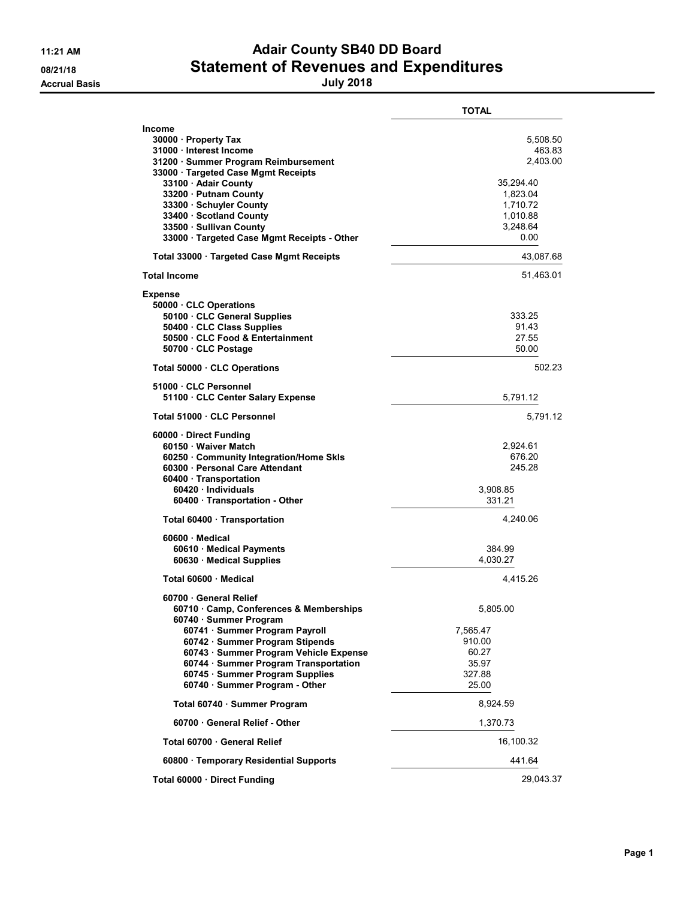## 11:21 AM **Adair County SB40 DD Board** 08/21/18 **Statement of Revenues and Expenditures**

|                                                                                                                                                                                                                                                                                                                                  | <b>TOTAL</b>                                                                                        |
|----------------------------------------------------------------------------------------------------------------------------------------------------------------------------------------------------------------------------------------------------------------------------------------------------------------------------------|-----------------------------------------------------------------------------------------------------|
| <b>Income</b><br>30000 · Property Tax<br>31000 · Interest Income<br>31200 · Summer Program Reimbursement<br>33000 · Targeted Case Mgmt Receipts<br>33100 · Adair County<br>33200 · Putnam County<br>33300 · Schuyler County<br>33400 · Scotland County<br>33500 · Sullivan County<br>33000 · Targeted Case Mgmt Receipts - Other | 5,508.50<br>463.83<br>2,403.00<br>35.294.40<br>1,823.04<br>1,710.72<br>1,010.88<br>3,248.64<br>0.00 |
| Total 33000 · Targeted Case Mgmt Receipts                                                                                                                                                                                                                                                                                        | 43,087.68                                                                                           |
| <b>Total Income</b>                                                                                                                                                                                                                                                                                                              | 51,463.01                                                                                           |
| <b>Expense</b><br>50000 CLC Operations<br>50100 CLC General Supplies<br>50400 · CLC Class Supplies<br>50500 CLC Food & Entertainment<br>50700 · CLC Postage                                                                                                                                                                      | 333.25<br>91.43<br>27.55<br>50.00                                                                   |
| Total 50000 CLC Operations                                                                                                                                                                                                                                                                                                       | 502.23                                                                                              |
| 51000 · CLC Personnel<br>51100 CLC Center Salary Expense                                                                                                                                                                                                                                                                         | 5,791.12                                                                                            |
| Total 51000 · CLC Personnel                                                                                                                                                                                                                                                                                                      | 5,791.12                                                                                            |
| 60000 Direct Funding<br>60150 · Waiver Match<br>60250 Community Integration/Home Skls<br>60300 Personal Care Attendant<br>60400 Transportation<br>60420 Individuals<br>60400 · Transportation - Other                                                                                                                            | 2,924.61<br>676.20<br>245.28<br>3,908.85<br>331.21                                                  |
| Total 60400 · Transportation                                                                                                                                                                                                                                                                                                     | 4,240.06                                                                                            |
| 60600 Medical<br>60610 · Medical Payments<br>60630 Medical Supplies                                                                                                                                                                                                                                                              | 384.99<br>4,030.27                                                                                  |
| Total 60600 Medical                                                                                                                                                                                                                                                                                                              | 4,415.26                                                                                            |
| 60700 General Relief<br>60710 Camp, Conferences & Memberships<br>60740 · Summer Program<br>60741 · Summer Program Payroll<br>60742 · Summer Program Stipends<br>60743 · Summer Program Vehicle Expense<br>60744 · Summer Program Transportation<br>60745 · Summer Program Supplies<br>60740 · Summer Program - Other             | 5.805.00<br>7,565.47<br>910.00<br>60.27<br>35.97<br>327.88<br>25.00                                 |
| Total 60740 · Summer Program                                                                                                                                                                                                                                                                                                     | 8,924.59                                                                                            |
| 60700 General Relief - Other                                                                                                                                                                                                                                                                                                     | 1,370.73                                                                                            |
| Total 60700 · General Relief                                                                                                                                                                                                                                                                                                     | 16,100.32                                                                                           |
| 60800 · Temporary Residential Supports                                                                                                                                                                                                                                                                                           | 441.64                                                                                              |
| Total 60000 Direct Funding                                                                                                                                                                                                                                                                                                       | 29,043.37                                                                                           |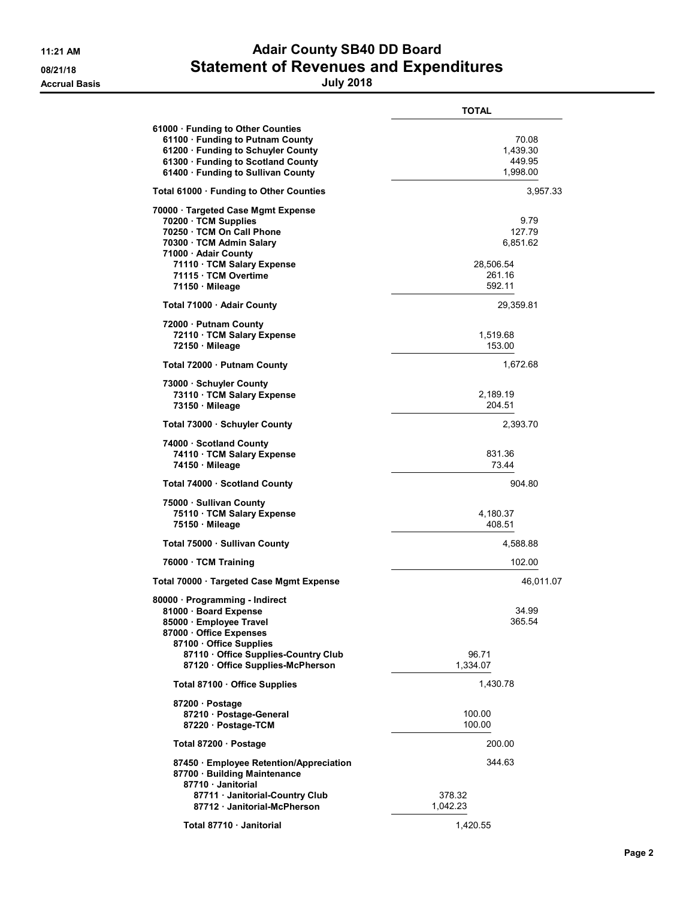## 11:21 AM **Adair County SB40 DD Board** 08/21/18 **Statement of Revenues and Expenditures**

|                                                                                                                                                                                                                    | <b>TOTAL</b>                                                |
|--------------------------------------------------------------------------------------------------------------------------------------------------------------------------------------------------------------------|-------------------------------------------------------------|
| 61000 · Funding to Other Counties<br>61100 · Funding to Putnam County<br>61200 · Funding to Schuyler County<br>61300 · Funding to Scotland County<br>61400 · Funding to Sullivan County                            | 70.08<br>1,439.30<br>449.95<br>1,998.00                     |
| Total 61000 · Funding to Other Counties                                                                                                                                                                            | 3,957.33                                                    |
| 70000 · Targeted Case Mgmt Expense<br>70200 · TCM Supplies<br>70250 · TCM On Call Phone<br>70300 · TCM Admin Salary<br>71000 · Adair County<br>71110 · TCM Salary Expense<br>71115 · TCM Overtime<br>71150 Mileage | 9.79<br>127.79<br>6.851.62<br>28,506.54<br>261.16<br>592.11 |
| Total 71000 · Adair County                                                                                                                                                                                         | 29,359.81                                                   |
| 72000 · Putnam County<br>72110 · TCM Salary Expense<br>72150 Mileage                                                                                                                                               | 1,519.68<br>153.00                                          |
| Total 72000 · Putnam County                                                                                                                                                                                        | 1,672.68                                                    |
| 73000 Schuyler County<br>73110 · TCM Salary Expense<br>73150 Mileage                                                                                                                                               | 2,189.19<br>204.51                                          |
| Total 73000 · Schuyler County                                                                                                                                                                                      | 2,393.70                                                    |
| 74000 Scotland County<br>74110 · TCM Salary Expense<br>74150 Mileage                                                                                                                                               | 831.36<br>73.44                                             |
| Total 74000 · Scotland County                                                                                                                                                                                      | 904.80                                                      |
| 75000 · Sullivan County<br>75110 · TCM Salary Expense<br>75150 Mileage                                                                                                                                             | 4,180.37<br>408.51                                          |
| Total 75000 · Sullivan County                                                                                                                                                                                      | 4,588.88                                                    |
| 76000 TCM Training                                                                                                                                                                                                 | 102.00                                                      |
| Total 70000 Targeted Case Mgmt Expense                                                                                                                                                                             | 46,011.07                                                   |
| 80000 Programming - Indirect<br>81000 Board Expense<br>85000 · Employee Travel<br>87000 Office Expenses<br>87100 Office Supplies<br>87110 Office Supplies-Country Club<br>87120 Office Supplies-McPherson          | 34.99<br>365.54<br>96.71<br>1,334.07                        |
| Total 87100 · Office Supplies                                                                                                                                                                                      | 1,430.78                                                    |
| 87200 · Postage<br>87210 · Postage-General<br>87220 · Postage-TCM                                                                                                                                                  | 100.00<br>100.00                                            |
| Total 87200 · Postage                                                                                                                                                                                              | 200.00                                                      |
| 87450 · Employee Retention/Appreciation<br>87700 · Building Maintenance<br>87710 Janitorial                                                                                                                        | 344.63                                                      |
| 87711 Janitorial-Country Club<br>87712 Janitorial-McPherson                                                                                                                                                        | 378.32<br>1,042.23                                          |
| Total 87710 · Janitorial                                                                                                                                                                                           | 1,420.55                                                    |